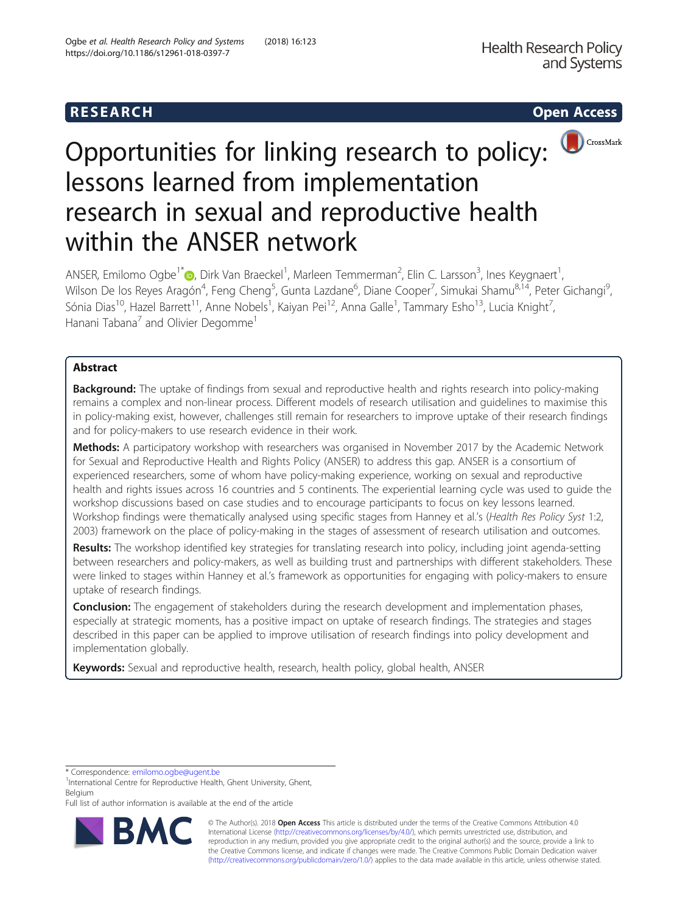

# Opportunities for linking research to policy: lessons learned from implementation research in sexual and reproductive health within the ANSER network

ANSER, Emilomo Ogbe<sup>1\*</sup> (D, Dirk Van Braeckel<sup>1</sup>, Marleen Temmerman<sup>2</sup>, Elin C. Larsson<sup>3</sup>, Ines Keygnaert<sup>1</sup> , Wilson De los Reyes Aragón<sup>4</sup>, Feng Cheng<sup>5</sup>, Gunta Lazdane<sup>6</sup>, Diane Cooper<sup>7</sup>, Simukai Shamu<sup>8,14</sup>, Peter Gichangi<sup>s</sup> , Sónia Dias<sup>10</sup>, Hazel Barrett<sup>11</sup>, Anne Nobels<sup>1</sup>, Kaiyan Pei<sup>12</sup>, Anna Galle<sup>1</sup>, Tammary Esho<sup>13</sup>, Lucia Knight<sup>7</sup> , Hanani Tabana<sup>7</sup> and Olivier Degomme<sup>1</sup>

# Abstract

**Background:** The uptake of findings from sexual and reproductive health and rights research into policy-making remains a complex and non-linear process. Different models of research utilisation and guidelines to maximise this in policy-making exist, however, challenges still remain for researchers to improve uptake of their research findings and for policy-makers to use research evidence in their work.

Methods: A participatory workshop with researchers was organised in November 2017 by the Academic Network for Sexual and Reproductive Health and Rights Policy (ANSER) to address this gap. ANSER is a consortium of experienced researchers, some of whom have policy-making experience, working on sexual and reproductive health and rights issues across 16 countries and 5 continents. The experiential learning cycle was used to guide the workshop discussions based on case studies and to encourage participants to focus on key lessons learned. Workshop findings were thematically analysed using specific stages from Hanney et al.'s (Health Res Policy Syst 1:2, 2003) framework on the place of policy-making in the stages of assessment of research utilisation and outcomes.

Results: The workshop identified key strategies for translating research into policy, including joint agenda-setting between researchers and policy-makers, as well as building trust and partnerships with different stakeholders. These were linked to stages within Hanney et al.'s framework as opportunities for engaging with policy-makers to ensure uptake of research findings.

**Conclusion:** The engagement of stakeholders during the research development and implementation phases, especially at strategic moments, has a positive impact on uptake of research findings. The strategies and stages described in this paper can be applied to improve utilisation of research findings into policy development and implementation globally.

Keywords: Sexual and reproductive health, research, health policy, global health, ANSER

\* Correspondence: [emilomo.ogbe@ugent.be](mailto:emilomo.ogbe@ugent.be) <sup>1</sup>

<sup>1</sup>International Centre for Reproductive Health, Ghent University, Ghent, Belgium

Full list of author information is available at the end of the article



© The Author(s). 2018 Open Access This article is distributed under the terms of the Creative Commons Attribution 4.0 International License [\(http://creativecommons.org/licenses/by/4.0/](http://creativecommons.org/licenses/by/4.0/)), which permits unrestricted use, distribution, and reproduction in any medium, provided you give appropriate credit to the original author(s) and the source, provide a link to the Creative Commons license, and indicate if changes were made. The Creative Commons Public Domain Dedication waiver [\(http://creativecommons.org/publicdomain/zero/1.0/](http://creativecommons.org/publicdomain/zero/1.0/)) applies to the data made available in this article, unless otherwise stated.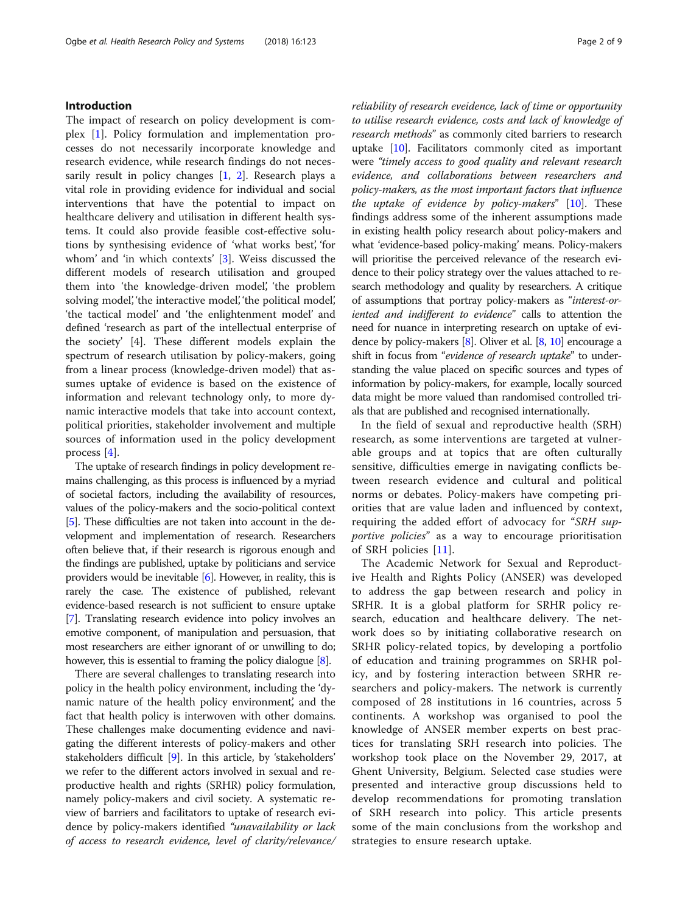#### Introduction

The impact of research on policy development is complex [\[1](#page-8-0)]. Policy formulation and implementation processes do not necessarily incorporate knowledge and research evidence, while research findings do not necessarily result in policy changes [[1,](#page-8-0) [2\]](#page-8-0). Research plays a vital role in providing evidence for individual and social interventions that have the potential to impact on healthcare delivery and utilisation in different health systems. It could also provide feasible cost-effective solutions by synthesising evidence of 'what works best', 'for whom' and 'in which contexts' [[3](#page-8-0)]. Weiss discussed the different models of research utilisation and grouped them into 'the knowledge-driven model', 'the problem solving model', 'the interactive model', 'the political model', 'the tactical model' and 'the enlightenment model' and defined 'research as part of the intellectual enterprise of the society' [4]. These different models explain the spectrum of research utilisation by policy-makers, going from a linear process (knowledge-driven model) that assumes uptake of evidence is based on the existence of information and relevant technology only, to more dynamic interactive models that take into account context, political priorities, stakeholder involvement and multiple sources of information used in the policy development process [\[4](#page-8-0)].

The uptake of research findings in policy development remains challenging, as this process is influenced by a myriad of societal factors, including the availability of resources, values of the policy-makers and the socio-political context [[5](#page-8-0)]. These difficulties are not taken into account in the development and implementation of research. Researchers often believe that, if their research is rigorous enough and the findings are published, uptake by politicians and service providers would be inevitable [\[6](#page-8-0)]. However, in reality, this is rarely the case. The existence of published, relevant evidence-based research is not sufficient to ensure uptake [[7](#page-8-0)]. Translating research evidence into policy involves an emotive component, of manipulation and persuasion, that most researchers are either ignorant of or unwilling to do; however, this is essential to framing the policy dialogue [\[8\]](#page-8-0).

There are several challenges to translating research into policy in the health policy environment, including the 'dynamic nature of the health policy environment, and the fact that health policy is interwoven with other domains. These challenges make documenting evidence and navigating the different interests of policy-makers and other stakeholders difficult [\[9](#page-8-0)]. In this article, by 'stakeholders' we refer to the different actors involved in sexual and reproductive health and rights (SRHR) policy formulation, namely policy-makers and civil society. A systematic review of barriers and facilitators to uptake of research evidence by policy-makers identified "unavailability or lack of access to research evidence, level of clarity/relevance/ reliability of research eveidence, lack of time or opportunity to utilise research evidence, costs and lack of knowledge of research methods" as commonly cited barriers to research uptake [[10](#page-8-0)]. Facilitators commonly cited as important were "timely access to good quality and relevant research evidence, and collaborations between researchers and policy-makers, as the most important factors that influence the uptake of evidence by policy-makers"  $[10]$  $[10]$ . These findings address some of the inherent assumptions made in existing health policy research about policy-makers and what 'evidence-based policy-making' means. Policy-makers will prioritise the perceived relevance of the research evidence to their policy strategy over the values attached to research methodology and quality by researchers. A critique of assumptions that portray policy-makers as "interest-oriented and indifferent to evidence" calls to attention the need for nuance in interpreting research on uptake of evidence by policy-makers [[8\]](#page-8-0). Oliver et al. [[8](#page-8-0), [10](#page-8-0)] encourage a shift in focus from "evidence of research uptake" to understanding the value placed on specific sources and types of information by policy-makers, for example, locally sourced data might be more valued than randomised controlled trials that are published and recognised internationally.

In the field of sexual and reproductive health (SRH) research, as some interventions are targeted at vulnerable groups and at topics that are often culturally sensitive, difficulties emerge in navigating conflicts between research evidence and cultural and political norms or debates. Policy-makers have competing priorities that are value laden and influenced by context, requiring the added effort of advocacy for "SRH supportive policies" as a way to encourage prioritisation of SRH policies [[11](#page-8-0)].

The Academic Network for Sexual and Reproductive Health and Rights Policy (ANSER) was developed to address the gap between research and policy in SRHR. It is a global platform for SRHR policy research, education and healthcare delivery. The network does so by initiating collaborative research on SRHR policy-related topics, by developing a portfolio of education and training programmes on SRHR policy, and by fostering interaction between SRHR researchers and policy-makers. The network is currently composed of 28 institutions in 16 countries, across 5 continents. A workshop was organised to pool the knowledge of ANSER member experts on best practices for translating SRH research into policies. The workshop took place on the November 29, 2017, at Ghent University, Belgium. Selected case studies were presented and interactive group discussions held to develop recommendations for promoting translation of SRH research into policy. This article presents some of the main conclusions from the workshop and strategies to ensure research uptake.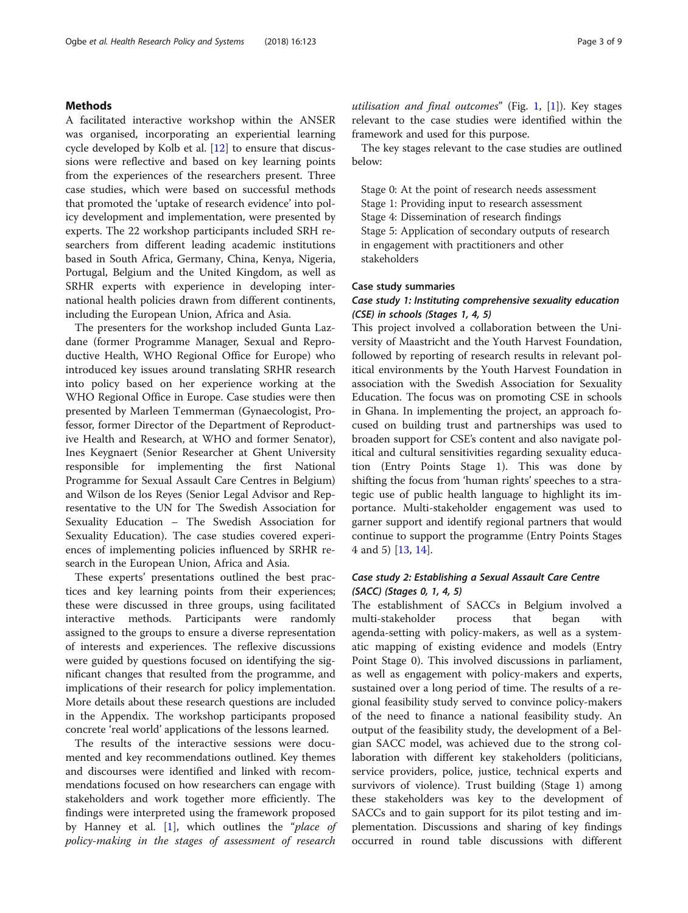## Methods

A facilitated interactive workshop within the ANSER was organised, incorporating an experiential learning cycle developed by Kolb et al. [\[12\]](#page-8-0) to ensure that discussions were reflective and based on key learning points from the experiences of the researchers present. Three case studies, which were based on successful methods that promoted the 'uptake of research evidence' into policy development and implementation, were presented by experts. The 22 workshop participants included SRH researchers from different leading academic institutions based in South Africa, Germany, China, Kenya, Nigeria, Portugal, Belgium and the United Kingdom, as well as SRHR experts with experience in developing international health policies drawn from different continents, including the European Union, Africa and Asia.

The presenters for the workshop included Gunta Lazdane (former Programme Manager, Sexual and Reproductive Health, WHO Regional Office for Europe) who introduced key issues around translating SRHR research into policy based on her experience working at the WHO Regional Office in Europe. Case studies were then presented by Marleen Temmerman (Gynaecologist, Professor, former Director of the Department of Reproductive Health and Research, at WHO and former Senator), Ines Keygnaert (Senior Researcher at Ghent University responsible for implementing the first National Programme for Sexual Assault Care Centres in Belgium) and Wilson de los Reyes (Senior Legal Advisor and Representative to the UN for The Swedish Association for Sexuality Education – The Swedish Association for Sexuality Education). The case studies covered experiences of implementing policies influenced by SRHR research in the European Union, Africa and Asia.

These experts' presentations outlined the best practices and key learning points from their experiences; these were discussed in three groups, using facilitated interactive methods. Participants were randomly assigned to the groups to ensure a diverse representation of interests and experiences. The reflexive discussions were guided by questions focused on identifying the significant changes that resulted from the programme, and implications of their research for policy implementation. More details about these research questions are included in the Appendix. The workshop participants proposed concrete 'real world' applications of the lessons learned.

The results of the interactive sessions were documented and key recommendations outlined. Key themes and discourses were identified and linked with recommendations focused on how researchers can engage with stakeholders and work together more efficiently. The findings were interpreted using the framework proposed by Hanney et al. [[1\]](#page-8-0), which outlines the "place of policy-making in the stages of assessment of research utilisation and final outcomes" (Fig. [1,](#page-3-0) [[1](#page-8-0)]). Key stages relevant to the case studies were identified within the framework and used for this purpose.

The key stages relevant to the case studies are outlined below:

Stage 0: At the point of research needs assessment Stage 1: Providing input to research assessment Stage 4: Dissemination of research findings Stage 5: Application of secondary outputs of research in engagement with practitioners and other stakeholders

#### Case study summaries

## Case study 1: Instituting comprehensive sexuality education (CSE) in schools (Stages 1, 4, 5)

This project involved a collaboration between the University of Maastricht and the Youth Harvest Foundation, followed by reporting of research results in relevant political environments by the Youth Harvest Foundation in association with the Swedish Association for Sexuality Education. The focus was on promoting CSE in schools in Ghana. In implementing the project, an approach focused on building trust and partnerships was used to broaden support for CSE's content and also navigate political and cultural sensitivities regarding sexuality education (Entry Points Stage 1). This was done by shifting the focus from 'human rights' speeches to a strategic use of public health language to highlight its importance. Multi-stakeholder engagement was used to garner support and identify regional partners that would continue to support the programme (Entry Points Stages 4 and 5) [[13,](#page-8-0) [14](#page-8-0)].

## Case study 2: Establishing a Sexual Assault Care Centre (SACC) (Stages 0, 1, 4, 5)

The establishment of SACCs in Belgium involved a multi-stakeholder process that began with agenda-setting with policy-makers, as well as a systematic mapping of existing evidence and models (Entry Point Stage 0). This involved discussions in parliament, as well as engagement with policy-makers and experts, sustained over a long period of time. The results of a regional feasibility study served to convince policy-makers of the need to finance a national feasibility study. An output of the feasibility study, the development of a Belgian SACC model, was achieved due to the strong collaboration with different key stakeholders (politicians, service providers, police, justice, technical experts and survivors of violence). Trust building (Stage 1) among these stakeholders was key to the development of SACCs and to gain support for its pilot testing and implementation. Discussions and sharing of key findings occurred in round table discussions with different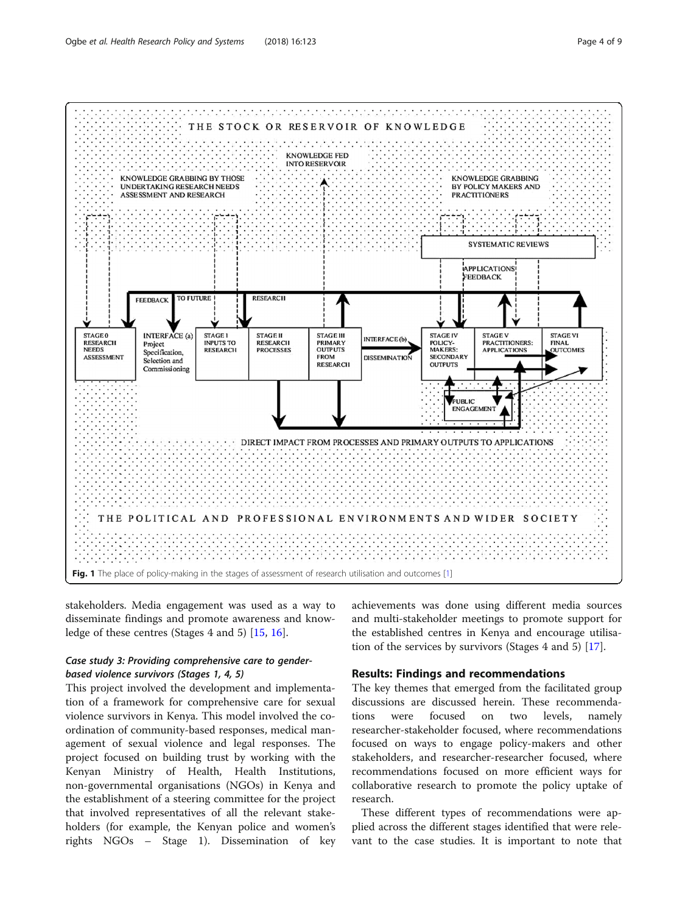<span id="page-3-0"></span>

stakeholders. Media engagement was used as a way to disseminate findings and promote awareness and knowledge of these centres (Stages 4 and 5) [[15](#page-8-0), [16](#page-8-0)].

# Case study 3: Providing comprehensive care to genderbased violence survivors (Stages 1, 4, 5)

This project involved the development and implementation of a framework for comprehensive care for sexual violence survivors in Kenya. This model involved the coordination of community-based responses, medical management of sexual violence and legal responses. The project focused on building trust by working with the Kenyan Ministry of Health, Health Institutions, non-governmental organisations (NGOs) in Kenya and the establishment of a steering committee for the project that involved representatives of all the relevant stakeholders (for example, the Kenyan police and women's rights NGOs – Stage 1). Dissemination of key achievements was done using different media sources and multi-stakeholder meetings to promote support for the established centres in Kenya and encourage utilisation of the services by survivors (Stages 4 and 5) [[17](#page-8-0)].

# Results: Findings and recommendations

The key themes that emerged from the facilitated group discussions are discussed herein. These recommendations were focused on two levels, namely researcher-stakeholder focused, where recommendations focused on ways to engage policy-makers and other stakeholders, and researcher-researcher focused, where recommendations focused on more efficient ways for collaborative research to promote the policy uptake of research.

These different types of recommendations were applied across the different stages identified that were relevant to the case studies. It is important to note that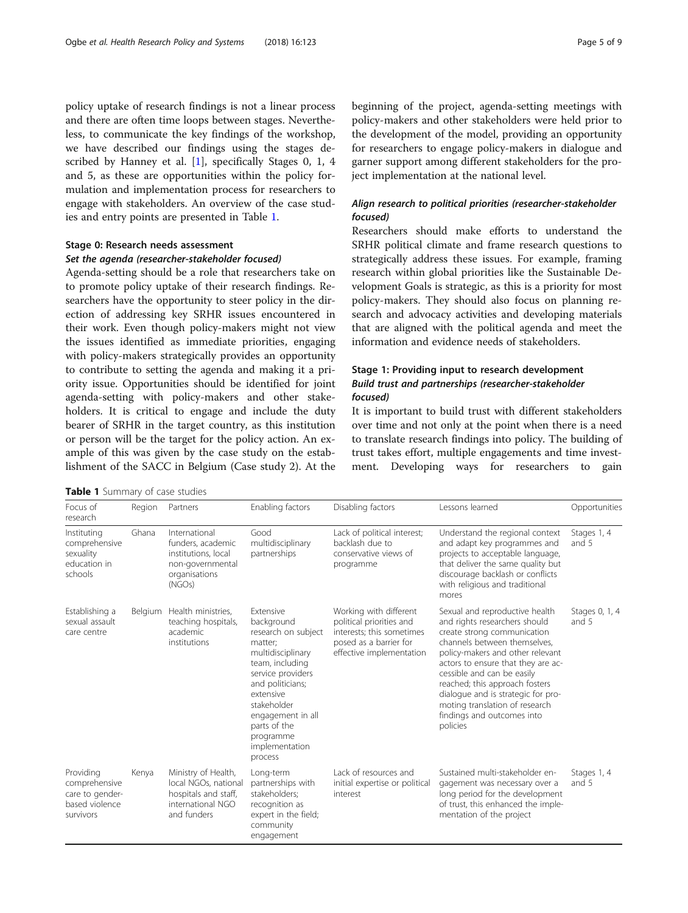policy uptake of research findings is not a linear process and there are often time loops between stages. Nevertheless, to communicate the key findings of the workshop, we have described our findings using the stages described by Hanney et al. [\[1](#page-8-0)], specifically Stages 0, 1, 4 and 5, as these are opportunities within the policy formulation and implementation process for researchers to engage with stakeholders. An overview of the case studies and entry points are presented in Table 1.

## Stage 0: Research needs assessment Set the agenda (researcher-stakeholder focused)

Agenda-setting should be a role that researchers take on to promote policy uptake of their research findings. Researchers have the opportunity to steer policy in the direction of addressing key SRHR issues encountered in their work. Even though policy-makers might not view the issues identified as immediate priorities, engaging with policy-makers strategically provides an opportunity to contribute to setting the agenda and making it a priority issue. Opportunities should be identified for joint agenda-setting with policy-makers and other stakeholders. It is critical to engage and include the duty bearer of SRHR in the target country, as this institution or person will be the target for the policy action. An example of this was given by the case study on the establishment of the SACC in Belgium (Case study 2). At the

beginning of the project, agenda-setting meetings with policy-makers and other stakeholders were held prior to the development of the model, providing an opportunity for researchers to engage policy-makers in dialogue and garner support among different stakeholders for the project implementation at the national level.

## Align research to political priorities (researcher-stakeholder focused)

Researchers should make efforts to understand the SRHR political climate and frame research questions to strategically address these issues. For example, framing research within global priorities like the Sustainable Development Goals is strategic, as this is a priority for most policy-makers. They should also focus on planning research and advocacy activities and developing materials that are aligned with the political agenda and meet the information and evidence needs of stakeholders.

## Stage 1: Providing input to research development Build trust and partnerships (researcher-stakeholder focused)

It is important to build trust with different stakeholders over time and not only at the point when there is a need to translate research findings into policy. The building of trust takes effort, multiple engagements and time investment. Developing ways for researchers to gain

| Focus of<br>research                                                         | Region | Partners                                                                                                 | Enabling factors                                                                                                                                                                                                                                      | Disabling factors                                                                                                                     | Lessons learned                                                                                                                                                                                                                                                                                                                                                                            | Opportunities           |
|------------------------------------------------------------------------------|--------|----------------------------------------------------------------------------------------------------------|-------------------------------------------------------------------------------------------------------------------------------------------------------------------------------------------------------------------------------------------------------|---------------------------------------------------------------------------------------------------------------------------------------|--------------------------------------------------------------------------------------------------------------------------------------------------------------------------------------------------------------------------------------------------------------------------------------------------------------------------------------------------------------------------------------------|-------------------------|
| Instituting<br>comprehensive<br>sexuality<br>education in<br>schools         | Ghana  | International<br>funders, academic<br>institutions, local<br>non-governmental<br>organisations<br>(NGOs) | Good<br>multidisciplinary<br>partnerships                                                                                                                                                                                                             | Lack of political interest;<br>backlash due to<br>conservative views of<br>programme                                                  | Understand the regional context<br>and adapt key programmes and<br>projects to acceptable language,<br>that deliver the same quality but<br>discourage backlash or conflicts<br>with religious and traditional<br>mores                                                                                                                                                                    | Stages 1, 4<br>and 5    |
| Establishing a<br>sexual assault<br>care centre                              |        | Belgium Health ministries,<br>teaching hospitals,<br>academic<br>institutions                            | Extensive<br>background<br>research on subject<br>matter:<br>multidisciplinary<br>team, including<br>service providers<br>and politicians;<br>extensive<br>stakeholder<br>engagement in all<br>parts of the<br>programme<br>implementation<br>process | Working with different<br>political priorities and<br>interests: this sometimes<br>posed as a barrier for<br>effective implementation | Sexual and reproductive health<br>and rights researchers should<br>create strong communication<br>channels between themselves,<br>policy-makers and other relevant<br>actors to ensure that they are ac-<br>cessible and can be easily<br>reached; this approach fosters<br>dialogue and is strategic for pro-<br>moting translation of research<br>findings and outcomes into<br>policies | Stages 0, 1, 4<br>and 5 |
| Providing<br>comprehensive<br>care to gender-<br>based violence<br>survivors | Kenya  | Ministry of Health,<br>local NGOs, national<br>hospitals and staff,<br>international NGO<br>and funders  | Long-term<br>partnerships with<br>stakeholders;<br>recognition as<br>expert in the field;<br>community<br>engagement                                                                                                                                  | Lack of resources and<br>initial expertise or political<br>interest                                                                   | Sustained multi-stakeholder en-<br>gagement was necessary over a<br>long period for the development<br>of trust, this enhanced the imple-<br>mentation of the project                                                                                                                                                                                                                      | Stages 1, 4<br>and 5    |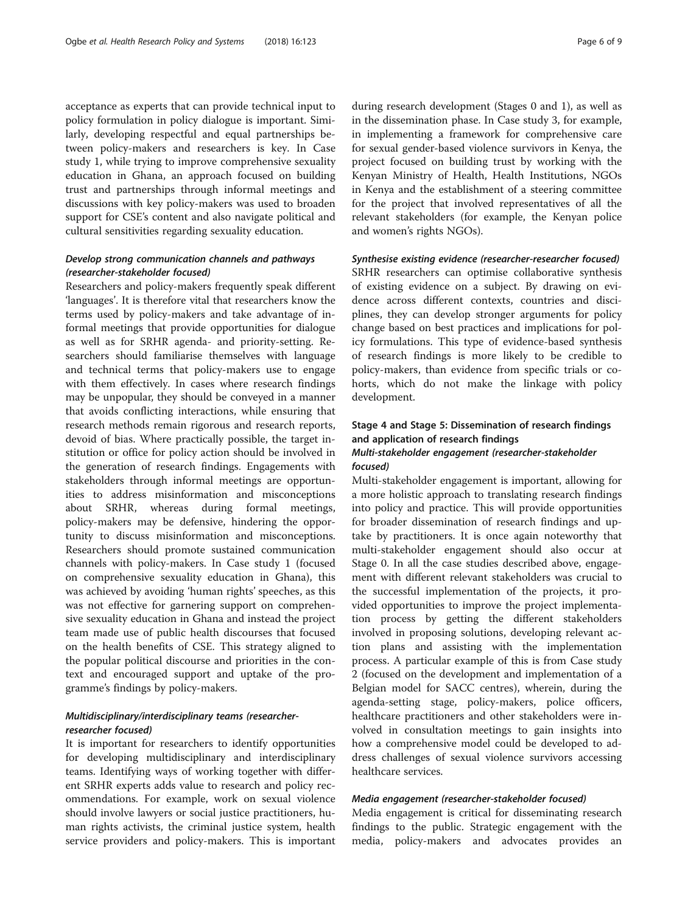acceptance as experts that can provide technical input to policy formulation in policy dialogue is important. Similarly, developing respectful and equal partnerships between policy-makers and researchers is key. In Case study 1, while trying to improve comprehensive sexuality education in Ghana, an approach focused on building trust and partnerships through informal meetings and discussions with key policy-makers was used to broaden support for CSE's content and also navigate political and cultural sensitivities regarding sexuality education.

## Develop strong communication channels and pathways (researcher-stakeholder focused)

Researchers and policy-makers frequently speak different 'languages'. It is therefore vital that researchers know the terms used by policy-makers and take advantage of informal meetings that provide opportunities for dialogue as well as for SRHR agenda- and priority-setting. Researchers should familiarise themselves with language and technical terms that policy-makers use to engage with them effectively. In cases where research findings may be unpopular, they should be conveyed in a manner that avoids conflicting interactions, while ensuring that research methods remain rigorous and research reports, devoid of bias. Where practically possible, the target institution or office for policy action should be involved in the generation of research findings. Engagements with stakeholders through informal meetings are opportunities to address misinformation and misconceptions about SRHR, whereas during formal meetings, policy-makers may be defensive, hindering the opportunity to discuss misinformation and misconceptions. Researchers should promote sustained communication channels with policy-makers. In Case study 1 (focused on comprehensive sexuality education in Ghana), this was achieved by avoiding 'human rights' speeches, as this was not effective for garnering support on comprehensive sexuality education in Ghana and instead the project team made use of public health discourses that focused on the health benefits of CSE. This strategy aligned to the popular political discourse and priorities in the context and encouraged support and uptake of the programme's findings by policy-makers.

## Multidisciplinary/interdisciplinary teams (researcherresearcher focused)

It is important for researchers to identify opportunities for developing multidisciplinary and interdisciplinary teams. Identifying ways of working together with different SRHR experts adds value to research and policy recommendations. For example, work on sexual violence should involve lawyers or social justice practitioners, human rights activists, the criminal justice system, health service providers and policy-makers. This is important during research development (Stages 0 and 1), as well as in the dissemination phase. In Case study 3, for example, in implementing a framework for comprehensive care for sexual gender-based violence survivors in Kenya, the project focused on building trust by working with the Kenyan Ministry of Health, Health Institutions, NGOs in Kenya and the establishment of a steering committee for the project that involved representatives of all the relevant stakeholders (for example, the Kenyan police and women's rights NGOs).

## Synthesise existing evidence (researcher-researcher focused)

SRHR researchers can optimise collaborative synthesis of existing evidence on a subject. By drawing on evidence across different contexts, countries and disciplines, they can develop stronger arguments for policy change based on best practices and implications for policy formulations. This type of evidence-based synthesis of research findings is more likely to be credible to policy-makers, than evidence from specific trials or cohorts, which do not make the linkage with policy development.

# Stage 4 and Stage 5: Dissemination of research findings and application of research findings

## Multi-stakeholder engagement (researcher-stakeholder focused)

Multi-stakeholder engagement is important, allowing for a more holistic approach to translating research findings into policy and practice. This will provide opportunities for broader dissemination of research findings and uptake by practitioners. It is once again noteworthy that multi-stakeholder engagement should also occur at Stage 0. In all the case studies described above, engagement with different relevant stakeholders was crucial to the successful implementation of the projects, it provided opportunities to improve the project implementation process by getting the different stakeholders involved in proposing solutions, developing relevant action plans and assisting with the implementation process. A particular example of this is from Case study 2 (focused on the development and implementation of a Belgian model for SACC centres), wherein, during the agenda-setting stage, policy-makers, police officers, healthcare practitioners and other stakeholders were involved in consultation meetings to gain insights into how a comprehensive model could be developed to address challenges of sexual violence survivors accessing healthcare services.

#### Media engagement (researcher-stakeholder focused)

Media engagement is critical for disseminating research findings to the public. Strategic engagement with the media, policy-makers and advocates provides an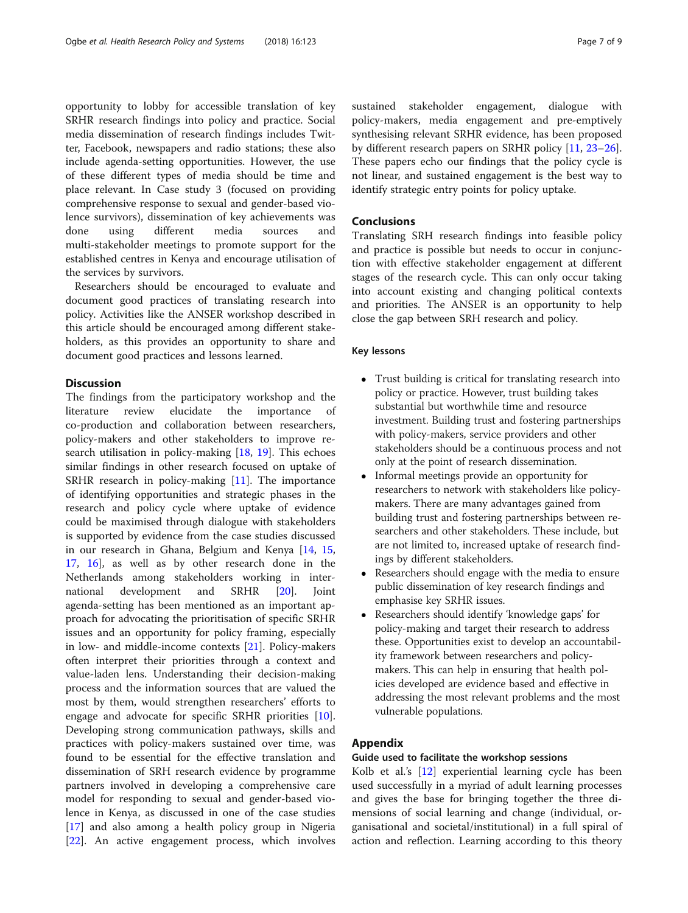opportunity to lobby for accessible translation of key SRHR research findings into policy and practice. Social media dissemination of research findings includes Twitter, Facebook, newspapers and radio stations; these also include agenda-setting opportunities. However, the use of these different types of media should be time and place relevant. In Case study 3 (focused on providing comprehensive response to sexual and gender-based violence survivors), dissemination of key achievements was done using different media sources and multi-stakeholder meetings to promote support for the established centres in Kenya and encourage utilisation of the services by survivors.

Researchers should be encouraged to evaluate and document good practices of translating research into policy. Activities like the ANSER workshop described in this article should be encouraged among different stakeholders, as this provides an opportunity to share and document good practices and lessons learned.

## **Discussion**

The findings from the participatory workshop and the literature review elucidate the importance of co-production and collaboration between researchers, policy-makers and other stakeholders to improve research utilisation in policy-making [[18,](#page-8-0) [19](#page-8-0)]. This echoes similar findings in other research focused on uptake of SRHR research in policy-making [\[11](#page-8-0)]. The importance of identifying opportunities and strategic phases in the research and policy cycle where uptake of evidence could be maximised through dialogue with stakeholders is supported by evidence from the case studies discussed in our research in Ghana, Belgium and Kenya [\[14](#page-8-0), [15](#page-8-0), [17,](#page-8-0) [16](#page-8-0)], as well as by other research done in the Netherlands among stakeholders working in international development and SRHR [[20\]](#page-8-0). Joint agenda-setting has been mentioned as an important approach for advocating the prioritisation of specific SRHR issues and an opportunity for policy framing, especially in low- and middle-income contexts [\[21](#page-8-0)]. Policy-makers often interpret their priorities through a context and value-laden lens. Understanding their decision-making process and the information sources that are valued the most by them, would strengthen researchers' efforts to engage and advocate for specific SRHR priorities [\[10](#page-8-0)]. Developing strong communication pathways, skills and practices with policy-makers sustained over time, was found to be essential for the effective translation and dissemination of SRH research evidence by programme partners involved in developing a comprehensive care model for responding to sexual and gender-based violence in Kenya, as discussed in one of the case studies [[17\]](#page-8-0) and also among a health policy group in Nigeria [[22\]](#page-8-0). An active engagement process, which involves

sustained stakeholder engagement, dialogue with policy-makers, media engagement and pre-emptively synthesising relevant SRHR evidence, has been proposed by different research papers on SRHR policy [[11,](#page-8-0) [23](#page-8-0)–[26](#page-8-0)]. These papers echo our findings that the policy cycle is not linear, and sustained engagement is the best way to identify strategic entry points for policy uptake.

### Conclusions

Translating SRH research findings into feasible policy and practice is possible but needs to occur in conjunction with effective stakeholder engagement at different stages of the research cycle. This can only occur taking into account existing and changing political contexts and priorities. The ANSER is an opportunity to help close the gap between SRH research and policy.

#### Key lessons

- Trust building is critical for translating research into policy or practice. However, trust building takes substantial but worthwhile time and resource investment. Building trust and fostering partnerships with policy-makers, service providers and other stakeholders should be a continuous process and not only at the point of research dissemination.
- Informal meetings provide an opportunity for researchers to network with stakeholders like policymakers. There are many advantages gained from building trust and fostering partnerships between researchers and other stakeholders. These include, but are not limited to, increased uptake of research findings by different stakeholders.
- Researchers should engage with the media to ensure public dissemination of key research findings and emphasise key SRHR issues.
- Researchers should identify 'knowledge gaps' for policy-making and target their research to address these. Opportunities exist to develop an accountability framework between researchers and policymakers. This can help in ensuring that health policies developed are evidence based and effective in addressing the most relevant problems and the most vulnerable populations.

#### Appendix

#### Guide used to facilitate the workshop sessions

Kolb et al.'s [\[12\]](#page-8-0) experiential learning cycle has been used successfully in a myriad of adult learning processes and gives the base for bringing together the three dimensions of social learning and change (individual, organisational and societal/institutional) in a full spiral of action and reflection. Learning according to this theory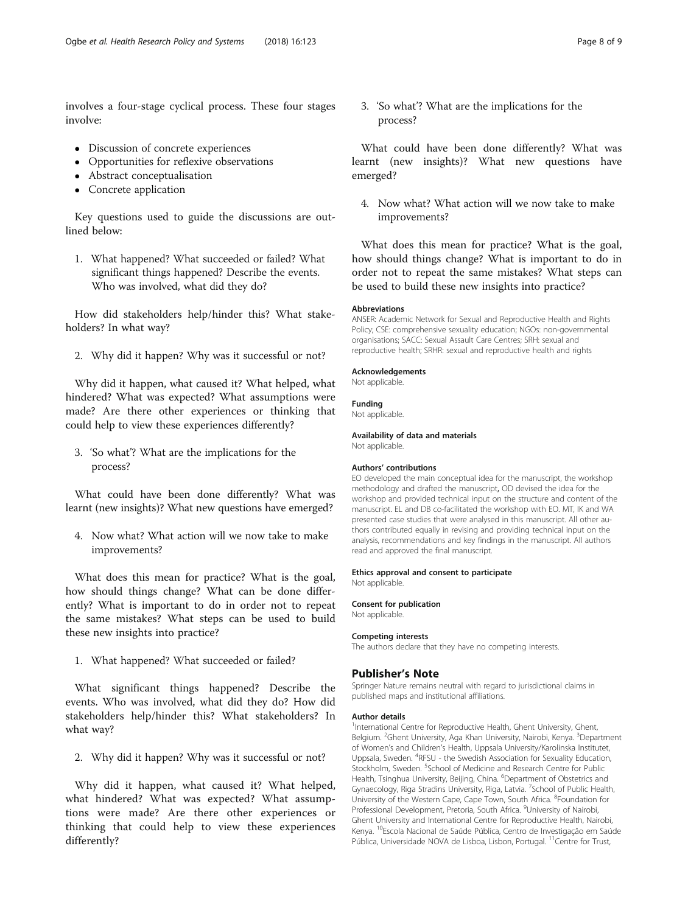involves a four-stage cyclical process. These four stages involve:

- Discussion of concrete experiences
- Opportunities for reflexive observations
- Abstract conceptualisation
- Concrete application

Key questions used to guide the discussions are outlined below:

1. What happened? What succeeded or failed? What significant things happened? Describe the events. Who was involved, what did they do?

How did stakeholders help/hinder this? What stakeholders? In what way?

2. Why did it happen? Why was it successful or not?

Why did it happen, what caused it? What helped, what hindered? What was expected? What assumptions were made? Are there other experiences or thinking that could help to view these experiences differently?

3. 'So what'? What are the implications for the process?

What could have been done differently? What was learnt (new insights)? What new questions have emerged?

4. Now what? What action will we now take to make improvements?

What does this mean for practice? What is the goal, how should things change? What can be done differently? What is important to do in order not to repeat the same mistakes? What steps can be used to build these new insights into practice?

1. What happened? What succeeded or failed?

What significant things happened? Describe the events. Who was involved, what did they do? How did stakeholders help/hinder this? What stakeholders? In what way?

2. Why did it happen? Why was it successful or not?

Why did it happen, what caused it? What helped, what hindered? What was expected? What assumptions were made? Are there other experiences or thinking that could help to view these experiences differently?

3. 'So what'? What are the implications for the process?

What could have been done differently? What was learnt (new insights)? What new questions have emerged?

4. Now what? What action will we now take to make improvements?

What does this mean for practice? What is the goal, how should things change? What is important to do in order not to repeat the same mistakes? What steps can be used to build these new insights into practice?

#### Abbreviations

ANSER: Academic Network for Sexual and Reproductive Health and Rights Policy; CSE: comprehensive sexuality education; NGOs: non-governmental organisations; SACC: Sexual Assault Care Centres; SRH: sexual and reproductive health; SRHR: sexual and reproductive health and rights

#### Acknowledgements

Not applicable.

#### Funding Not applicable.

Availability of data and materials Not applicable.

#### Authors' contributions

EO developed the main conceptual idea for the manuscript, the workshop methodology and drafted the manuscript, OD devised the idea for the workshop and provided technical input on the structure and content of the manuscript. EL and DB co-facilitated the workshop with EO. MT, IK and WA presented case studies that were analysed in this manuscript. All other authors contributed equally in revising and providing technical input on the analysis, recommendations and key findings in the manuscript. All authors read and approved the final manuscript.

#### Ethics approval and consent to participate Not applicable.

Consent for publication

Not applicable.

#### Competing interests

The authors declare that they have no competing interests.

#### Publisher's Note

Springer Nature remains neutral with regard to jurisdictional claims in published maps and institutional affiliations.

#### Author details

<sup>1</sup>International Centre for Reproductive Health, Ghent University, Ghent Belgium. <sup>2</sup>Ghent University, Aga Khan University, Nairobi, Kenya. <sup>3</sup>Department of Women's and Children's Health, Uppsala University/Karolinska Institutet, Uppsala, Sweden. <sup>4</sup>RFSU - the Swedish Association for Sexuality Education Stockholm, Sweden. <sup>5</sup>School of Medicine and Research Centre for Public Health, Tsinghua University, Beijing, China. <sup>6</sup>Department of Obstetrics and Gynaecology, Riga Stradins University, Riga, Latvia. <sup>7</sup>School of Public Health University of the Western Cape, Cape Town, South Africa. <sup>8</sup>Foundation for Professional Development, Pretoria, South Africa. <sup>9</sup>University of Nairobi Ghent University and International Centre for Reproductive Health, Nairobi, Kenya. <sup>10</sup>Escola Nacional de Saúde Pública, Centro de Investigação em Saúde Pública, Universidade NOVA de Lisboa, Lisbon, Portugal. <sup>11</sup> Centre for Trust,